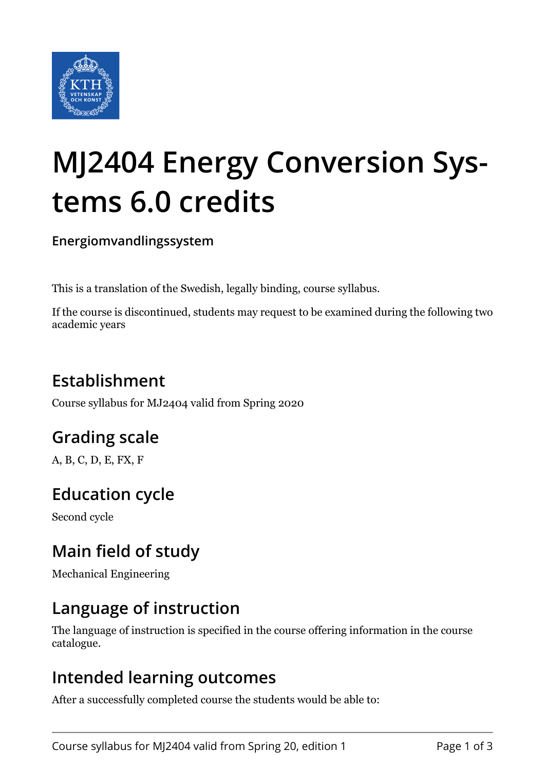

# **MJ2404 Energy Conversion Systems 6.0 credits**

**Energiomvandlingssystem**

This is a translation of the Swedish, legally binding, course syllabus.

If the course is discontinued, students may request to be examined during the following two academic years

# **Establishment**

Course syllabus for MJ2404 valid from Spring 2020

# **Grading scale**

A, B, C, D, E, FX, F

## **Education cycle**

Second cycle

## **Main field of study**

Mechanical Engineering

## **Language of instruction**

The language of instruction is specified in the course offering information in the course catalogue.

### **Intended learning outcomes**

After a successfully completed course the students would be able to: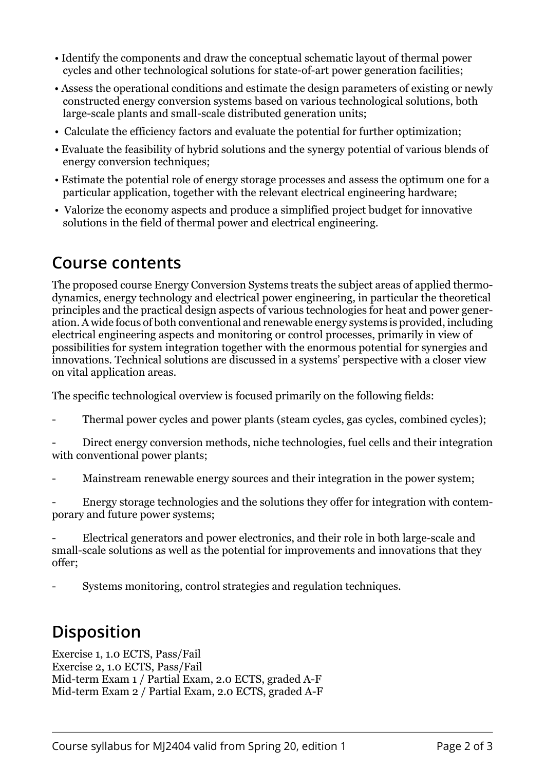- Identify the components and draw the conceptual schematic layout of thermal power cycles and other technological solutions for state-of-art power generation facilities;
- Assess the operational conditions and estimate the design parameters of existing or newly constructed energy conversion systems based on various technological solutions, both large-scale plants and small-scale distributed generation units;
- Calculate the efficiency factors and evaluate the potential for further optimization;
- Evaluate the feasibility of hybrid solutions and the synergy potential of various blends of energy conversion techniques;
- Estimate the potential role of energy storage processes and assess the optimum one for a particular application, together with the relevant electrical engineering hardware;
- Valorize the economy aspects and produce a simplified project budget for innovative solutions in the field of thermal power and electrical engineering.

#### **Course contents**

The proposed course Energy Conversion Systems treats the subject areas of applied thermodynamics, energy technology and electrical power engineering, in particular the theoretical principles and the practical design aspects of various technologies for heat and power generation. A wide focus of both conventional and renewable energy systems is provided, including electrical engineering aspects and monitoring or control processes, primarily in view of possibilities for system integration together with the enormous potential for synergies and innovations. Technical solutions are discussed in a systems' perspective with a closer view on vital application areas.

The specific technological overview is focused primarily on the following fields:

Thermal power cycles and power plants (steam cycles, gas cycles, combined cycles);

Direct energy conversion methods, niche technologies, fuel cells and their integration with conventional power plants;

Mainstream renewable energy sources and their integration in the power system;

Energy storage technologies and the solutions they offer for integration with contemporary and future power systems;

Electrical generators and power electronics, and their role in both large-scale and small-scale solutions as well as the potential for improvements and innovations that they offer;

- Systems monitoring, control strategies and regulation techniques.

## **Disposition**

Exercise 1, 1.0 ECTS, Pass/Fail Exercise 2, 1.0 ECTS, Pass/Fail Mid-term Exam 1 / Partial Exam, 2.0 ECTS, graded A-F Mid-term Exam 2 / Partial Exam, 2.0 ECTS, graded A-F